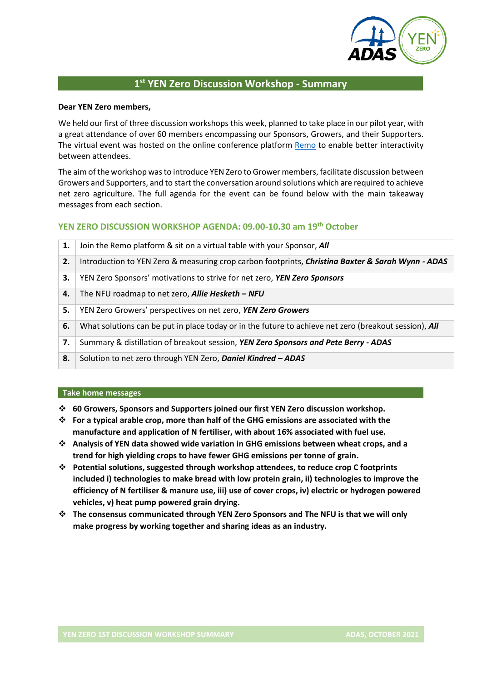

# **1 st YEN Zero Discussion Workshop - Summary**

#### **Dear YEN Zero members,**

We held our first of three discussion workshops this week, planned to take place in our pilot year, with a great attendance of over 60 members encompassing our Sponsors, Growers, and their Supporters. The virtual event was hosted on the online conference platform [Remo](https://remo.co/) to enable better interactivity between attendees.

The aim of the workshop was to introduce YEN Zero to Grower members, facilitate discussion between Growers and Supporters, and to start the conversation around solutions which are required to achieve net zero agriculture. The full agenda for the event can be found below with the main takeaway messages from each section.

# **YEN ZERO DISCUSSION WORKSHOP AGENDA: 09.00-10.30 am 19th October**

| 1. | Join the Remo platform & sit on a virtual table with your Sponsor, All                                       |
|----|--------------------------------------------------------------------------------------------------------------|
| 2. | Introduction to YEN Zero & measuring crop carbon footprints, <i>Christina Baxter &amp; Sarah Wynn - ADAS</i> |
| 3. | YEN Zero Sponsors' motivations to strive for net zero, YEN Zero Sponsors                                     |
| 4. | The NFU roadmap to net zero, <b>Allie Hesketh - NFU</b>                                                      |
| 5. | YEN Zero Growers' perspectives on net zero, YEN Zero Growers                                                 |
| 6. | What solutions can be put in place today or in the future to achieve net zero (breakout session), All        |
| 7. | Summary & distillation of breakout session, YEN Zero Sponsors and Pete Berry - ADAS                          |
| 8. | Solution to net zero through YEN Zero, Daniel Kindred - ADAS                                                 |

#### **Take home messages**

- ❖ **60 Growers, Sponsors and Supporters joined our first YEN Zero discussion workshop.**
- ❖ **For a typical arable crop, more than half of the GHG emissions are associated with the manufacture and application of N fertiliser, with about 16% associated with fuel use.**
- ❖ **Analysis of YEN data showed wide variation in GHG emissions between wheat crops, and a trend for high yielding crops to have fewer GHG emissions per tonne of grain.**
- ❖ **Potential solutions, suggested through workshop attendees, to reduce crop C footprints included i) technologies to make bread with low protein grain, ii) technologies to improve the efficiency of N fertiliser & manure use, iii) use of cover crops, iv) electric or hydrogen powered vehicles, v) heat pump powered grain drying.**
- ❖ **The consensus communicated through YEN Zero Sponsors and The NFU is that we will only make progress by working together and sharing ideas as an industry.**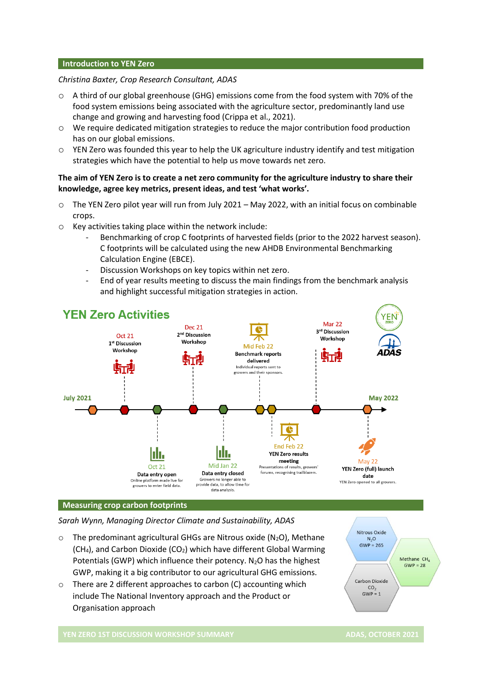#### **Introduction to YEN Zero**

### *Christina Baxter, Crop Research Consultant, ADAS*

- o A third of our global greenhouse (GHG) emissions come from the food system with 70% of the food system emissions being associated with the agriculture sector, predominantly land use change and growing and harvesting food (Crippa et al., 2021).
- o We require dedicated mitigation strategies to reduce the major contribution food production has on our global emissions.
- $\circ$  YEN Zero was founded this year to help the UK agriculture industry identify and test mitigation strategies which have the potential to help us move towards net zero.

# **The aim of YEN Zero is to create a net zero community for the agriculture industry to share their knowledge, agree key metrics, present ideas, and test 'what works'.**

- o The YEN Zero pilot year will run from July 2021 May 2022, with an initial focus on combinable crops.
- o Key activities taking place within the network include:
	- Benchmarking of crop C footprints of harvested fields (prior to the 2022 harvest season). C footprints will be calculated using the new AHDB Environmental Benchmarking Calculation Engine (EBCE).
	- Discussion Workshops on key topics within net zero.
	- End of year results meeting to discuss the main findings from the benchmark analysis and highlight successful mitigation strategies in action.



#### **Measuring crop carbon footprints**

*Sarah Wynn, Managing Director Climate and Sustainability, ADAS*

- $\circ$  The predominant agricultural GHGs are Nitrous oxide (N<sub>2</sub>O), Methane  $(CH<sub>4</sub>)$ , and Carbon Dioxide  $(CO<sub>2</sub>)$  which have different Global Warming Potentials (GWP) which influence their potency.  $N_2O$  has the highest GWP, making it a big contributor to our agricultural GHG emissions.
- o There are 2 different approaches to carbon (C) accounting which include The National Inventory approach and the Product or Organisation approach



**YEN ZERO 1ST DISCUSSION WORKSHOP SUMMARY ADAS, OCTOBER 2021**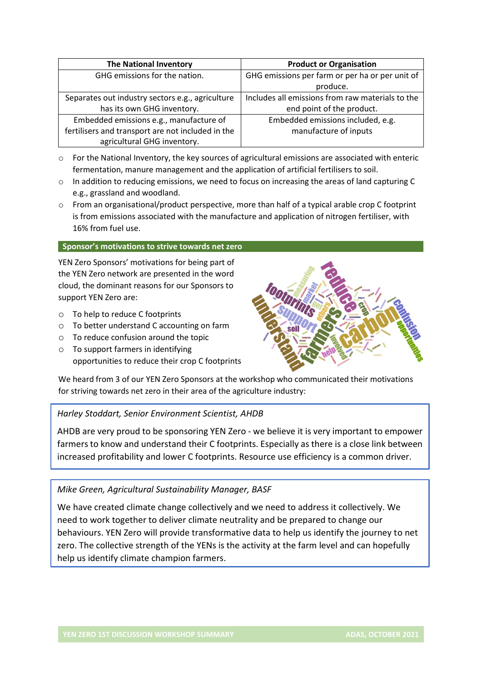| <b>The National Inventory</b>                     | <b>Product or Organisation</b>                   |
|---------------------------------------------------|--------------------------------------------------|
| GHG emissions for the nation.                     | GHG emissions per farm or per ha or per unit of  |
|                                                   | produce.                                         |
| Separates out industry sectors e.g., agriculture  | Includes all emissions from raw materials to the |
| has its own GHG inventory.                        | end point of the product.                        |
| Embedded emissions e.g., manufacture of           | Embedded emissions included, e.g.                |
| fertilisers and transport are not included in the | manufacture of inputs                            |
| agricultural GHG inventory.                       |                                                  |

- o For the National Inventory, the key sources of agricultural emissions are associated with enteric fermentation, manure management and the application of artificial fertilisers to soil.
- $\circ$  In addition to reducing emissions, we need to focus on increasing the areas of land capturing C e.g., grassland and woodland.
- o From an organisational/product perspective, more than half of a typical arable crop C footprint is from emissions associated with the manufacture and application of nitrogen fertiliser, with 16% from fuel use.

### **Sponsor's motivations to strive towards net zero**

YEN Zero Sponsors' motivations for being part of the YEN Zero network are presented in the word cloud, the dominant reasons for our Sponsors to support YEN Zero are:

- o To help to reduce C footprints
- o To better understand C accounting on farm
- o To reduce confusion around the topic
- o To support farmers in identifying opportunities to reduce their crop C footprints



We heard from 3 of our YEN Zero Sponsors at the workshop who communicated their motivations for striving towards net zero in their area of the agriculture industry:

# *Harley Stoddart, Senior Environment Scientist, AHDB*

AHDB are very proud to be sponsoring YEN Zero - we believe it is very important to empower farmers to know and understand their C footprints. Especially as there is a close link between increased profitability and lower C footprints. Resource use efficiency is a common driver.

# *Mike Green, Agricultural Sustainability Manager, BASF*

We have created climate change collectively and we need to address it collectively. We need to work together to deliver climate neutrality and be prepared to change our behaviours. YEN Zero will provide transformative data to help us identify the journey to net zero. The collective strength of the YENs is the activity at the farm level and can hopefully help us identify climate champion farmers.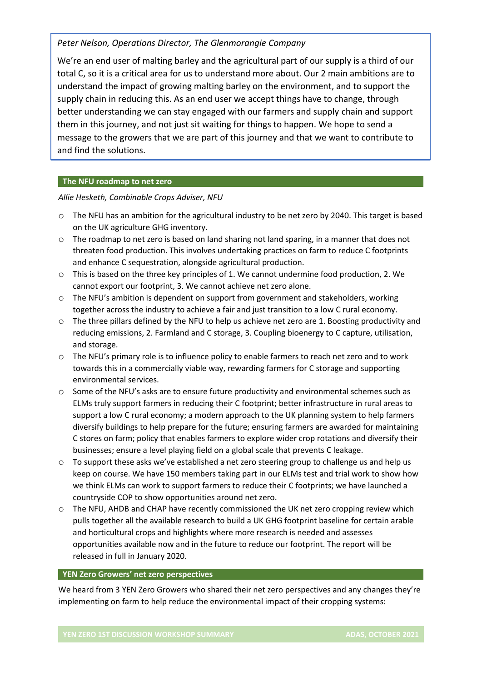# *Peter Nelson, Operations Director, The Glenmorangie Company*

We're an end user of malting barley and the agricultural part of our supply is a third of our total C, so it is a critical area for us to understand more about. Our 2 main ambitions are to understand the impact of growing malting barley on the environment, and to support the supply chain in reducing this. As an end user we accept things have to change, through better understanding we can stay engaged with our farmers and supply chain and support them in this journey, and not just sit waiting for things to happen. We hope to send a message to the growers that we are part of this journey and that we want to contribute to and find the solutions.

## **The NFU roadmap to net zero**

*Allie Hesketh, Combinable Crops Adviser, NFU*

- o The NFU has an ambition for the agricultural industry to be net zero by 2040. This target is based on the UK agriculture GHG inventory.
- $\circ$  The roadmap to net zero is based on land sharing not land sparing, in a manner that does not threaten food production. This involves undertaking practices on farm to reduce C footprints and enhance C sequestration, alongside agricultural production.
- o This is based on the three key principles of 1. We cannot undermine food production, 2. We cannot export our footprint, 3. We cannot achieve net zero alone.
- $\circ$  The NFU's ambition is dependent on support from government and stakeholders, working together across the industry to achieve a fair and just transition to a low C rural economy.
- o The three pillars defined by the NFU to help us achieve net zero are 1. Boosting productivity and reducing emissions, 2. Farmland and C storage, 3. Coupling bioenergy to C capture, utilisation, and storage.
- o The NFU's primary role is to influence policy to enable farmers to reach net zero and to work towards this in a commercially viable way, rewarding farmers for C storage and supporting environmental services.
- o Some of the NFU's asks are to ensure future productivity and environmental schemes such as ELMs truly support farmers in reducing their C footprint; better infrastructure in rural areas to support a low C rural economy; a modern approach to the UK planning system to help farmers diversify buildings to help prepare for the future; ensuring farmers are awarded for maintaining C stores on farm; policy that enables farmers to explore wider crop rotations and diversify their businesses; ensure a level playing field on a global scale that prevents C leakage.
- o To support these asks we've established a net zero steering group to challenge us and help us keep on course. We have 150 members taking part in our ELMs test and trial work to show how we think ELMs can work to support farmers to reduce their C footprints; we have launched a countryside COP to show opportunities around net zero.
- o The NFU, AHDB and CHAP have recently commissioned the UK net zero cropping review which pulls together all the available research to build a UK GHG footprint baseline for certain arable and horticultural crops and highlights where more research is needed and assesses opportunities available now and in the future to reduce our footprint. The report will be released in full in January 2020.

### **YEN Zero Growers' net zero perspectives**

We heard from 3 YEN Zero Growers who shared their net zero perspectives and any changes they're implementing on farm to help reduce the environmental impact of their cropping systems: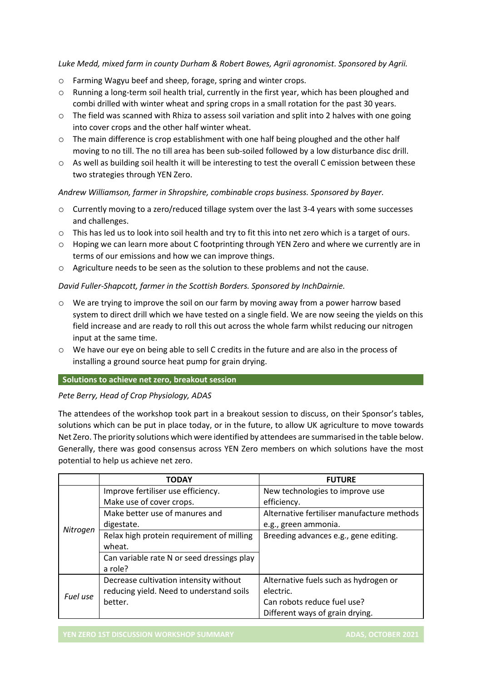### *Luke Medd, mixed farm in county Durham & Robert Bowes, Agrii agronomist. Sponsored by Agrii.*

- o Farming Wagyu beef and sheep, forage, spring and winter crops.
- o Running a long-term soil health trial, currently in the first year, which has been ploughed and combi drilled with winter wheat and spring crops in a small rotation for the past 30 years.
- o The field was scanned with Rhiza to assess soil variation and split into 2 halves with one going into cover crops and the other half winter wheat.
- o The main difference is crop establishment with one half being ploughed and the other half moving to no till. The no till area has been sub-soiled followed by a low disturbance disc drill.
- o As well as building soil health it will be interesting to test the overall C emission between these two strategies through YEN Zero.

### *Andrew Williamson, farmer in Shropshire, combinable crops business. Sponsored by Bayer.*

- o Currently moving to a zero/reduced tillage system over the last 3-4 years with some successes and challenges.
- o This has led us to look into soil health and try to fit this into net zero which is a target of ours.
- o Hoping we can learn more about C footprinting through YEN Zero and where we currently are in terms of our emissions and how we can improve things.
- o Agriculture needs to be seen as the solution to these problems and not the cause.

## *David Fuller-Shapcott, farmer in the Scottish Borders. Sponsored by InchDairnie.*

- o We are trying to improve the soil on our farm by moving away from a power harrow based system to direct drill which we have tested on a single field. We are now seeing the yields on this field increase and are ready to roll this out across the whole farm whilst reducing our nitrogen input at the same time.
- o We have our eye on being able to sell C credits in the future and are also in the process of installing a ground source heat pump for grain drying.

### **Solutions to achieve net zero, breakout session**

### *Pete Berry, Head of Crop Physiology, ADAS*

The attendees of the workshop took part in a breakout session to discuss, on their Sponsor's tables, solutions which can be put in place today, or in the future, to allow UK agriculture to move towards Net Zero. The priority solutions which were identified by attendees are summarised in the table below. Generally, there was good consensus across YEN Zero members on which solutions have the most potential to help us achieve net zero.

|          | <b>TODAY</b>                               | <b>FUTURE</b>                              |
|----------|--------------------------------------------|--------------------------------------------|
|          | Improve fertiliser use efficiency.         | New technologies to improve use            |
|          | Make use of cover crops.                   | efficiency.                                |
|          | Make better use of manures and             | Alternative fertiliser manufacture methods |
| Nitrogen | digestate.                                 | e.g., green ammonia.                       |
|          | Relax high protein requirement of milling  | Breeding advances e.g., gene editing.      |
|          | wheat.                                     |                                            |
|          | Can variable rate N or seed dressings play |                                            |
|          | a role?                                    |                                            |
|          | Decrease cultivation intensity without     | Alternative fuels such as hydrogen or      |
| Fuel use | reducing yield. Need to understand soils   | electric.                                  |
|          | better.                                    | Can robots reduce fuel use?                |
|          |                                            | Different ways of grain drying.            |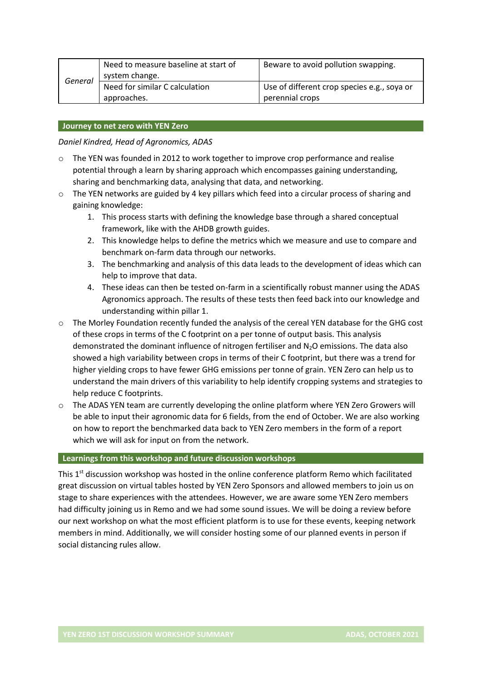|         | Need to measure baseline at start of | Beware to avoid pollution swapping.         |
|---------|--------------------------------------|---------------------------------------------|
| General | system change.                       |                                             |
|         | Need for similar C calculation       | Use of different crop species e.g., soya or |
|         | approaches.                          | perennial crops                             |

### **Journey to net zero with YEN Zero**

*Daniel Kindred, Head of Agronomics, ADAS*

- $\circ$  The YEN was founded in 2012 to work together to improve crop performance and realise potential through a learn by sharing approach which encompasses gaining understanding, sharing and benchmarking data, analysing that data, and networking.
- o The YEN networks are guided by 4 key pillars which feed into a circular process of sharing and gaining knowledge:
	- 1. This process starts with defining the knowledge base through a shared conceptual framework, like with the AHDB growth guides.
	- 2. This knowledge helps to define the metrics which we measure and use to compare and benchmark on-farm data through our networks.
	- 3. The benchmarking and analysis of this data leads to the development of ideas which can help to improve that data.
	- 4. These ideas can then be tested on-farm in a scientifically robust manner using the ADAS Agronomics approach. The results of these tests then feed back into our knowledge and understanding within pillar 1.
- o The Morley Foundation recently funded the analysis of the cereal YEN database for the GHG cost of these crops in terms of the C footprint on a per tonne of output basis. This analysis demonstrated the dominant influence of nitrogen fertiliser and  $N_2O$  emissions. The data also showed a high variability between crops in terms of their C footprint, but there was a trend for higher yielding crops to have fewer GHG emissions per tonne of grain. YEN Zero can help us to understand the main drivers of this variability to help identify cropping systems and strategies to help reduce C footprints.
- o The ADAS YEN team are currently developing the online platform where YEN Zero Growers will be able to input their agronomic data for 6 fields, from the end of October. We are also working on how to report the benchmarked data back to YEN Zero members in the form of a report which we will ask for input on from the network.

#### **Learnings from this workshop and future discussion workshops**

This  $1<sup>st</sup>$  discussion workshop was hosted in the online conference platform Remo which facilitated great discussion on virtual tables hosted by YEN Zero Sponsors and allowed members to join us on stage to share experiences with the attendees. However, we are aware some YEN Zero members had difficulty joining us in Remo and we had some sound issues. We will be doing a review before our next workshop on what the most efficient platform is to use for these events, keeping network members in mind. Additionally, we will consider hosting some of our planned events in person if social distancing rules allow.